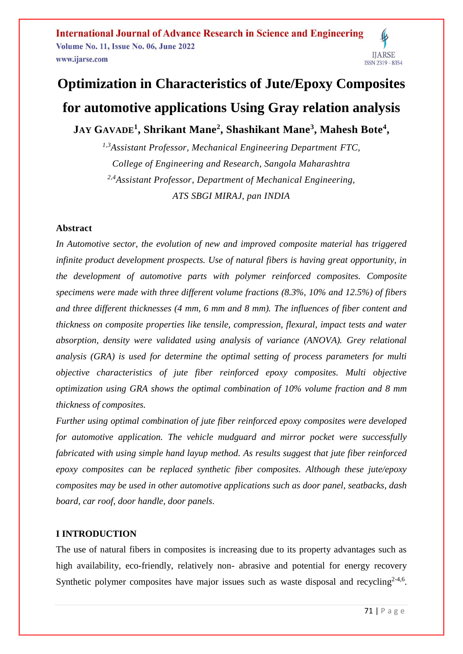**International Journal of Advance Research in Science and Engineering Volume No. 11, Issue No. 06, June 2022** www.ijarse.com

# **IJARSE ISSN 2319 - 8354**

# **Optimization in Characteristics of Jute/Epoxy Composites for automotive applications Using Gray relation analysis**

**JAY GAVADE<sup>1</sup> , Shrikant Mane<sup>2</sup> , Shashikant Mane<sup>3</sup> , Mahesh Bote<sup>4</sup> ,**

*1,3Assistant Professor, Mechanical Engineering Department FTC, College of Engineering and Research, Sangola Maharashtra 2,4Assistant Professor, Department of Mechanical Engineering, ATS SBGI MIRAJ, pan INDIA*

### **Abstract**

*In Automotive sector, the evolution of new and improved composite material has triggered infinite product development prospects. Use of natural fibers is having great opportunity, in the development of automotive parts with polymer reinforced composites. Composite specimens were made with three different volume fractions (8.3%, 10% and 12.5%) of fibers and three different thicknesses (4 mm, 6 mm and 8 mm). The influences of fiber content and thickness on composite properties like tensile, compression, flexural, impact tests and water absorption, density were validated using analysis of variance (ANOVA). Grey relational analysis (GRA) is used for determine the optimal setting of process parameters for multi objective characteristics of jute fiber reinforced epoxy composites. Multi objective optimization using GRA shows the optimal combination of 10% volume fraction and 8 mm thickness of composites.* 

*Further using optimal combination of jute fiber reinforced epoxy composites were developed for automotive application. The vehicle mudguard and mirror pocket were successfully fabricated with using simple hand layup method. As results suggest that jute fiber reinforced epoxy composites can be replaced synthetic fiber composites. Although these jute/epoxy composites may be used in other automotive applications such as door panel, seatbacks, dash board, car roof, door handle, door panels*.

### **I INTRODUCTION**

The use of natural fibers in composites is increasing due to its property advantages such as high availability, eco-friendly, relatively non- abrasive and potential for energy recovery Synthetic polymer composites have major issues such as waste disposal and recycling<sup>2-4,6</sup>.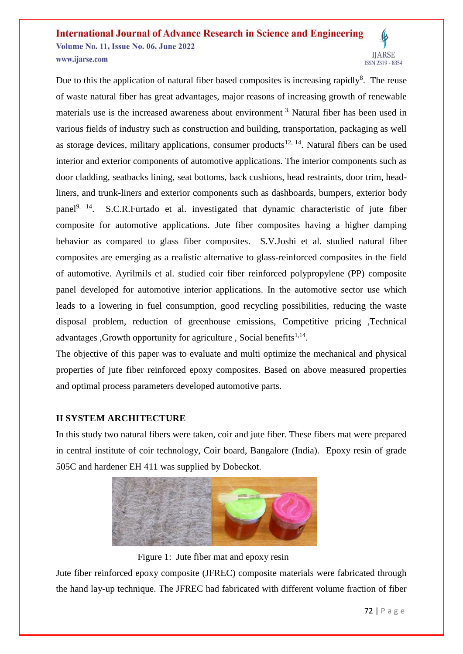#### **International Journal of Advance Research in Science and Engineering Volume No. 11, Issue No. 06, June 2022 IIARSE** www.ijarse.com **ISSN 2319 - 8354**

Due to this the application of natural fiber based composites is increasing rapidly<sup>8</sup>. The reuse of waste natural fiber has great advantages, major reasons of increasing growth of renewable materials use is the increased awareness about environment <sup>3.</sup> Natural fiber has been used in various fields of industry such as construction and building, transportation, packaging as well as storage devices, military applications, consumer products<sup>12, 14</sup>. Natural fibers can be used interior and exterior components of automotive applications. The interior components such as door cladding, seatbacks lining, seat bottoms, back cushions, head restraints, door trim, headliners, and trunk-liners and exterior components such as dashboards, bumpers, exterior body panel<sup>9, 14</sup>. S.C.R.Furtado et al. investigated that dynamic characteristic of jute fiber composite for automotive applications. Jute fiber composites having a higher damping behavior as compared to glass fiber composites. S.V.Joshi et al. studied natural fiber composites are emerging as a realistic alternative to glass-reinforced composites in the field of automotive. Ayrilmils et al. studied coir fiber reinforced polypropylene (PP) composite panel developed for automotive interior applications. In the automotive sector use which leads to a lowering in fuel consumption, good recycling possibilities, reducing the waste disposal problem, reduction of greenhouse emissions, Competitive pricing ,Technical advantages , Growth opportunity for agriculture, Social benefits $1,14$ .

The objective of this paper was to evaluate and multi optimize the mechanical and physical properties of jute fiber reinforced epoxy composites. Based on above measured properties and optimal process parameters developed automotive parts.

### **II SYSTEM ARCHITECTURE**

In this study two natural fibers were taken, coir and jute fiber. These fibers mat were prepared in central institute of coir technology, Coir board, Bangalore (India). Epoxy resin of grade 505C and hardener EH 411 was supplied by Dobeckot.



Figure 1: Jute fiber mat and epoxy resin

Jute fiber reinforced epoxy composite (JFREC) composite materials were fabricated through the hand lay-up technique. The JFREC had fabricated with different volume fraction of fiber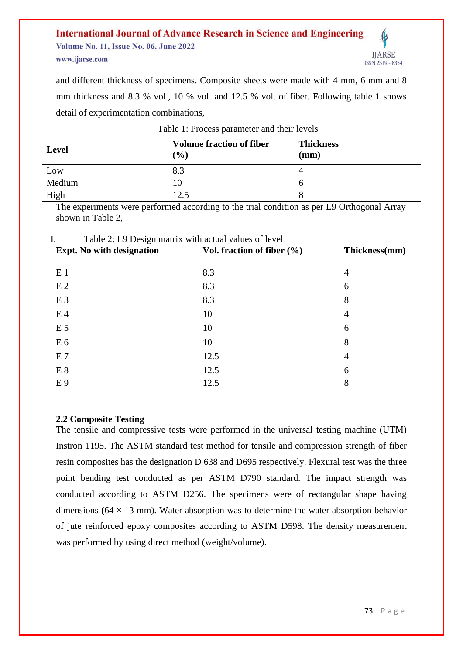#### **International Journal of Advance Research in Science and Engineering Volume No. 11, Issue No. 06, June 2022 IIARSE** www.ijarse.com ISSN 2319 - 8354

and different thickness of specimens. Composite sheets were made with 4 mm, 6 mm and 8 mm thickness and 8.3 % vol., 10 % vol. and 12.5 % vol. of fiber. Following table 1 shows detail of experimentation combinations,

| Table 1: Process parameter and their levels |                                           |                          |  |  |
|---------------------------------------------|-------------------------------------------|--------------------------|--|--|
| <b>Level</b>                                | <b>Volume fraction of fiber</b><br>$($ %) | <b>Thickness</b><br>(mm) |  |  |
| Low                                         | 8.3                                       |                          |  |  |
| Medium                                      | 10                                        |                          |  |  |
| High                                        | 12.5                                      |                          |  |  |

The experiments were performed according to the trial condition as per L9 Orthogonal Array shown in Table 2,

| <b>Expt.</b> No with designation | Vol. fraction of fiber $(\% )$ | Thickness(mm) |  |
|----------------------------------|--------------------------------|---------------|--|
| E <sub>1</sub>                   | 8.3                            | 4             |  |
| E <sub>2</sub>                   | 8.3                            | 6             |  |
| E <sub>3</sub>                   | 8.3                            | 8             |  |
| E <sub>4</sub>                   | 10                             | 4             |  |
| E <sub>5</sub>                   | 10                             | 6             |  |
| E6                               | 10                             | 8             |  |
| E <sub>7</sub>                   | 12.5                           | 4             |  |
| E 8                              | 12.5                           | 6             |  |
| E <sub>9</sub>                   | 12.5                           | 8             |  |

### $I =$ Table  $2 \cdot I$  9 Design matrix with actual values of level

### **2.2 Composite Testing**

The tensile and compressive tests were performed in the universal testing machine (UTM) Instron 1195. The ASTM standard test method for tensile and compression strength of fiber resin composites has the designation D 638 and D695 respectively. Flexural test was the three point bending test conducted as per ASTM D790 standard. The impact strength was conducted according to ASTM D256. The specimens were of rectangular shape having dimensions ( $64 \times 13$  mm). Water absorption was to determine the water absorption behavior of jute reinforced epoxy composites according to ASTM D598. The density measurement was performed by using direct method (weight/volume).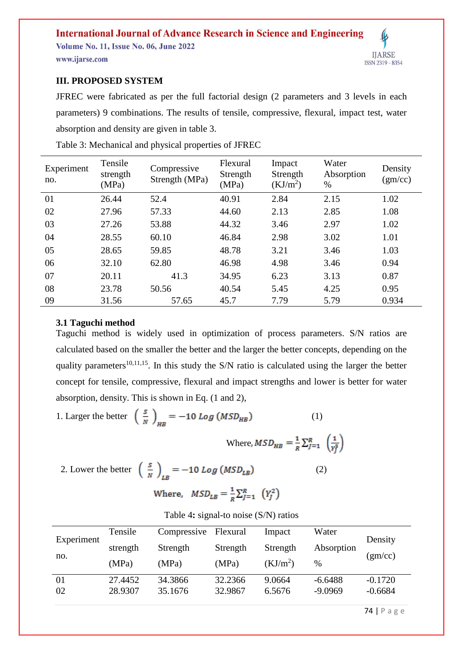Volume No. 11, Issue No. 06, June 2022 www.ijarse.com



### **III. PROPOSED SYSTEM**

JFREC were fabricated as per the full factorial design (2 parameters and 3 levels in each parameters) 9 combinations. The results of tensile, compressive, flexural, impact test, water absorption and density are given in table 3.

| Experiment<br>no. | Tensile<br>strength<br>(MPa) | Compressive<br>Strength (MPa) | Flexural<br>Strength<br>(MPa) | Impact<br>Strength<br>(KJ/m <sup>2</sup> ) | Water<br>Absorption<br>$\%$ | Density<br>(gm/cc) |
|-------------------|------------------------------|-------------------------------|-------------------------------|--------------------------------------------|-----------------------------|--------------------|
| 01                | 26.44                        | 52.4                          | 40.91                         | 2.84                                       | 2.15                        | 1.02               |
| 02                | 27.96                        | 57.33                         | 44.60                         | 2.13                                       | 2.85                        | 1.08               |
| 03                | 27.26                        | 53.88                         | 44.32                         | 3.46                                       | 2.97                        | 1.02               |
| 04                | 28.55                        | 60.10                         | 46.84                         | 2.98                                       | 3.02                        | 1.01               |
| 05                | 28.65                        | 59.85                         | 48.78                         | 3.21                                       | 3.46                        | 1.03               |
| 06                | 32.10                        | 62.80                         | 46.98                         | 4.98                                       | 3.46                        | 0.94               |
| 07                | 20.11                        | 41.3                          | 34.95                         | 6.23                                       | 3.13                        | 0.87               |
| 08                | 23.78                        | 50.56                         | 40.54                         | 5.45                                       | 4.25                        | 0.95               |
| 09                | 31.56                        | 57.65                         | 45.7                          | 7.79                                       | 5.79                        | 0.934              |

Table 3: Mechanical and physical properties of JFREC

#### **3.1 Taguchi method**

Taguchi method is widely used in optimization of process parameters. S/N ratios are calculated based on the smaller the better and the larger the better concepts, depending on the quality parameters<sup>10,11,15</sup>. In this study the S/N ratio is calculated using the larger the better concept for tensile, compressive, flexural and impact strengths and lower is better for water absorption, density. This is shown in Eq. (1 and 2),

1. Larger the better  $\left(\frac{s}{N}\right)_{\text{tr}} = -10 \text{ Log } (MSD_{HB})$  (1)

Where, 
$$
MSD_{HB} = \frac{1}{R} \sum_{j=1}^{R} \left( \frac{1}{y_j^2} \right)
$$

2. Lower the better  $\left(\frac{s}{N}\right)_{LR} = -10 Log\left(MSD_{LB}\right)$  (2) Where,  $MSD_{LB} = \frac{1}{R} \sum_{I=1}^{R} (Y_I^2)$ 

|            | Table 4: signal-to noise $(S/N)$ ratios |                      |          |                      |            |
|------------|-----------------------------------------|----------------------|----------|----------------------|------------|
|            | Tensile                                 | Compressive Flexural |          | Impact               | Water      |
| Experiment | strength                                | Strength             | Strength | Strength             | Absorption |
| no.        | (MPa)                                   | (MPa)                | (MPa)    | (KJ/m <sup>2</sup> ) | $\%$       |

01 27.4452 34.3866 32.2366 9.0664 -6.6488 -0.1720 02 28.9307 35.1676 32.9867 6.5676 -9.0969 -0.6684

74 | P a g e

Density

(gm/cc)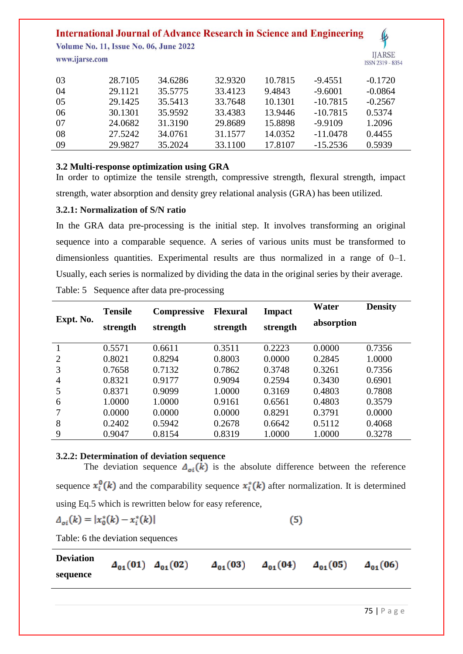**Volume No. 11, Issue No. 06, June 2022** 

www.ijarse.com



| -03 | 28.7105 | 34.6286 | 32.9320 | 10.7815 | $-9.4551$  | $-0.1720$ |
|-----|---------|---------|---------|---------|------------|-----------|
| -04 | 29.1121 | 35.5775 | 33.4123 | 9.4843  | $-9.6001$  | $-0.0864$ |
| -05 | 29.1425 | 35.5413 | 33.7648 | 10.1301 | $-10.7815$ | $-0.2567$ |
| -06 | 30.1301 | 35.9592 | 33.4383 | 13.9446 | $-10.7815$ | 0.5374    |
| -07 | 24.0682 | 31.3190 | 29.8689 | 15.8898 | $-9.9109$  | 1.2096    |
| -08 | 27.5242 | 34.0761 | 31.1577 | 14.0352 | $-11.0478$ | 0.4455    |
| 09  | 29.9827 | 35.2024 | 33.1100 | 17.8107 | $-15.2536$ | 0.5939    |

### **3.2 Multi-response optimization using GRA**

In order to optimize the tensile strength, compressive strength, flexural strength, impact strength, water absorption and density grey relational analysis (GRA) has been utilized.

### **3.2.1: Normalization of S/N ratio**

In the GRA data pre-processing is the initial step. It involves transforming an original sequence into a comparable sequence. A series of various units must be transformed to dimensionless quantities. Experimental results are thus normalized in a range of 0–1. Usually, each series is normalized by dividing the data in the original series by their average. Table: 5 Sequence after data pre-processing

| Expt. No.      | <b>Tensile</b><br>strength | <b>Compressive</b><br>strength | <b>Flexural</b><br>strength | <b>Impact</b><br>strength | Water<br>absorption | <b>Density</b> |
|----------------|----------------------------|--------------------------------|-----------------------------|---------------------------|---------------------|----------------|
|                | 0.5571                     | 0.6611                         | 0.3511                      | 0.2223                    | 0.0000              | 0.7356         |
| $\overline{2}$ | 0.8021                     | 0.8294                         | 0.8003                      | 0.0000                    | 0.2845              | 1.0000         |
| 3              | 0.7658                     | 0.7132                         | 0.7862                      | 0.3748                    | 0.3261              | 0.7356         |
| $\overline{4}$ | 0.8321                     | 0.9177                         | 0.9094                      | 0.2594                    | 0.3430              | 0.6901         |
| 5              | 0.8371                     | 0.9099                         | 1.0000                      | 0.3169                    | 0.4803              | 0.7808         |
| 6              | 1.0000                     | 1.0000                         | 0.9161                      | 0.6561                    | 0.4803              | 0.3579         |
|                | 0.0000                     | 0.0000                         | 0.0000                      | 0.8291                    | 0.3791              | 0.0000         |
| 8              | 0.2402                     | 0.5942                         | 0.2678                      | 0.6642                    | 0.5112              | 0.4068         |
| 9              | 0.9047                     | 0.8154                         | 0.8319                      | 1.0000                    | 1.0000              | 0.3278         |

### **3.2.2: Determination of deviation sequence**

The deviation sequence  $\Delta_{oi}(k)$  is the absolute difference between the reference sequence  $x_i^0(k)$  and the comparability sequence  $x_i^*(k)$  after normalization. It is determined using Eq.5 which is rewritten below for easy reference,

$$
\Delta_{oi}(k) = |x_0^*(k) - x_i^*(k)|
$$

 $(5)$ 

Table: 6 the deviation sequences

**Deviation**   $A_{01}(01)$   $A_{01}(02)$   $A_{01}(03)$   $A_{01}(04)$   $A_{01}(05)$   $A_{01}(06)$ **sequence**

75 | P a g e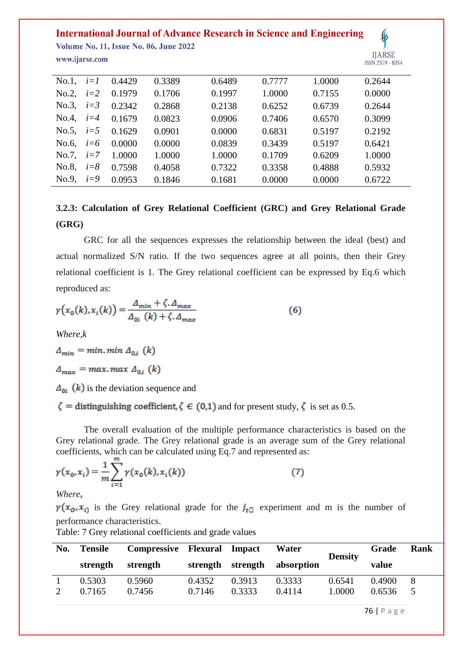**Volume No. 11, Issue No. 06, June 2022** www.ijarse.com



| ISSN 2319 - 835 |
|-----------------|
| <b>IJARDE</b>   |

| No.1, $i=1$ |         | 0.4429 | 0.3389 | 0.6489 | 0.7777 | 1.0000 | 0.2644 |
|-------------|---------|--------|--------|--------|--------|--------|--------|
| No.2        | $i=2$   | 0.1979 | 0.1706 | 0.1997 | 1.0000 | 0.7155 | 0.0000 |
| No.3, $i=3$ |         | 0.2342 | 0.2868 | 0.2138 | 0.6252 | 0.6739 | 0.2644 |
| No.4, $i=4$ |         | 0.1679 | 0.0823 | 0.0906 | 0.7406 | 0.6570 | 0.3099 |
| No.5, $i=5$ |         | 0.1629 | 0.0901 | 0.0000 | 0.6831 | 0.5197 | 0.2192 |
| No.6, $i=6$ |         | 0.0000 | 0.0000 | 0.0839 | 0.3439 | 0.5197 | 0.6421 |
| No.7,       | $i=7$   | 1.0000 | 1.0000 | 1.0000 | 0.1709 | 0.6209 | 1.0000 |
| No.8,       | $i = 8$ | 0.7598 | 0.4058 | 0.7322 | 0.3358 | 0.4888 | 0.5932 |
| No.9        | $i=9$   | 0.0953 | 0.1846 | 0.1681 | 0.0000 | 0.0000 | 0.6722 |

# **3.2.3: Calculation of Grey Relational Coefficient (GRC) and Grey Relational Grade (GRG)**

GRC for all the sequences expresses the relationship between the ideal (best) and actual normalized S/N ratio. If the two sequences agree at all points, then their Grey relational coefficient is 1. The Grey relational coefficient can be expressed by Eq.6 which reproduced as:

$$
\gamma\big(x_0(k), x_i(k)\big) = \frac{\Delta_{min} + \zeta \cdot \Delta_{max}}{\Delta_{0i}\left(k\right) + \zeta \cdot \Delta_{max}}\tag{6}
$$

*Where,k*

 $\Delta_{min} = min. min \Delta_{0,i} (k)$ 

 $\Delta_{max}$  = max. max  $\Delta_{0,i}$  (k)

 $\Delta_{0i}$  (k) is the deviation sequence and

 $\zeta$  = distinguishing coefficient,  $\zeta \in (0,1)$  and for present study,  $\zeta$  is set as 0.5.

The overall evaluation of the multiple performance characteristics is based on the Grey relational grade. The Grey relational grade is an average sum of the Grey relational coefficients, which can be calculated using Eq.7 and represented as:

$$
\gamma(x_0, x_i) = \frac{1}{m} \sum_{i=1}^m \gamma(x_0(k), x_i(k))
$$
\n(7)

*Where*

 $\gamma(x_0, x_0)$  is the Grey relational grade for the  $j_{\text{eff}}$  experiment and m is the number of performance characteristics.

Table: 7 Grey relational coefficients and grade values

| No. | <b>Tensile</b> | Compressive Flexural Impact |          |          | Water      | <b>Density</b> | Grade  | Rank |
|-----|----------------|-----------------------------|----------|----------|------------|----------------|--------|------|
|     | strength       | strength                    | strength | strength | absorption |                | value  |      |
|     | 0.5303         | 0.5960                      | 0.4352   | 0.3913   | 0.3333     | 0.6541         | 0.4900 | 8    |
|     | 0.7165         | 0.7456                      | 0.7146   | 0.3333   | 0.4114     | 1.0000         | 0.6536 |      |

76 | P a g e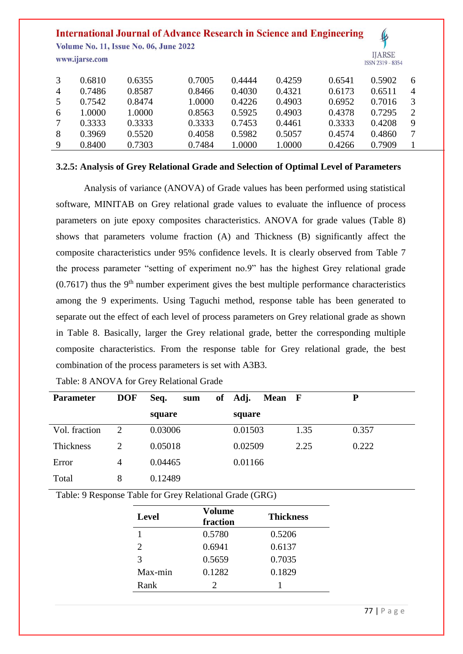**Volume No. 11, Issue No. 06, June 2022** 

www.ijarse.com



|                | 0.6810 | 0.6355 | 0.7005 | 0.4444 | 0.4259 | 0.6541 | 0.5902 | 6              |
|----------------|--------|--------|--------|--------|--------|--------|--------|----------------|
| $\overline{A}$ | 0.7486 | 0.8587 | 0.8466 | 0.4030 | 0.4321 | 0.6173 | 0.6511 | $\overline{4}$ |
| 5              | 0.7542 | 0.8474 | 1.0000 | 0.4226 | 0.4903 | 0.6952 | 0.7016 |                |
| 6              | 1.0000 | 1.0000 | 0.8563 | 0.5925 | 0.4903 | 0.4378 | 0.7295 |                |
|                | 0.3333 | 0.3333 | 0.3333 | 0.7453 | 0.4461 | 0.3333 | 0.4208 | 9              |
| 8              | 0.3969 | 0.5520 | 0.4058 | 0.5982 | 0.5057 | 0.4574 | 0.4860 |                |
| -9             | 0.8400 | 0.7303 | 0.7484 | 1.0000 | 1.0000 | 0.4266 | 0.7909 |                |

### **3.2.5: Analysis of Grey Relational Grade and Selection of Optimal Level of Parameters**

Analysis of variance (ANOVA) of Grade values has been performed using statistical software, MINITAB on Grey relational grade values to evaluate the influence of process parameters on jute epoxy composites characteristics. ANOVA for grade values (Table 8) shows that parameters volume fraction (A) and Thickness (B) significantly affect the composite characteristics under 95% confidence levels. It is clearly observed from Table 7 the process parameter "setting of experiment no.9" has the highest Grey relational grade  $(0.7617)$  thus the 9<sup>th</sup> number experiment gives the best multiple performance characteristics among the 9 experiments. Using Taguchi method, response table has been generated to separate out the effect of each level of process parameters on Grey relational grade as shown in Table 8. Basically, larger the Grey relational grade, better the corresponding multiple composite characteristics. From the response table for Grey relational grade, the best combination of the process parameters is set with A3B3.

| <b>Parameter</b> | <b>DOF</b> | Seq.<br>of<br>sum | Adj.<br>Mean F |      | P     |
|------------------|------------|-------------------|----------------|------|-------|
|                  |            | square            | square         |      |       |
| Vol. fraction    | 2          | 0.03006           | 0.01503        | 1.35 | 0.357 |
| Thickness        | 2          | 0.05018           | 0.02509        | 2.25 | 0.222 |
| Error            | 4          | 0.04465           | 0.01166        |      |       |
| Total            | 8          | 0.12489           |                |      |       |

Table: 8 ANOVA for Grey Relational Grade

Table: 9 Response Table for Grey Relational Grade (GRG)

| <b>Level</b> | Volume<br>fraction | <b>Thickness</b> |  |
|--------------|--------------------|------------------|--|
|              | 0.5780             | 0.5206           |  |
| 2            | 0.6941             | 0.6137           |  |
| 3            | 0.5659             | 0.7035           |  |
| Max-min      | 0.1282             | 0.1829           |  |
| Rank         | 2                  |                  |  |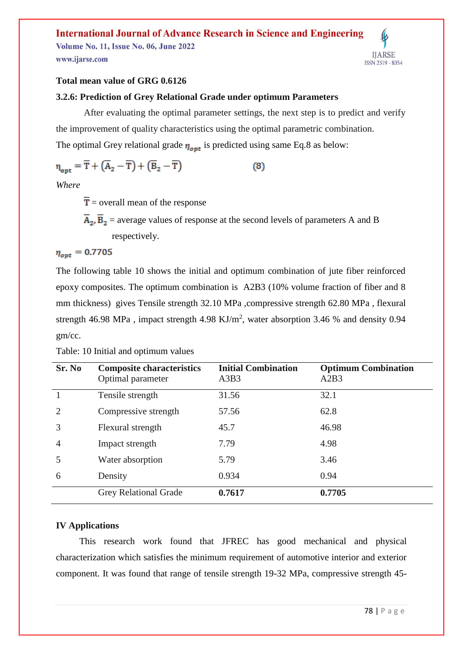**Volume No. 11, Issue No. 06, June 2022** www.ijarse.com



### **Total mean value of GRG 0.6126**

### **3.2.6: Prediction of Grey Relational Grade under optimum Parameters**

After evaluating the optimal parameter settings, the next step is to predict and verify the improvement of quality characteristics using the optimal parametric combination. The optimal Grey relational grade  $\eta_{opt}$  is predicted using same Eq.8 as below:

$$
\eta_{\text{opt}} = \overline{T} + (\overline{A}_2 - \overline{T}) + (\overline{B}_2 - \overline{T}) \tag{8}
$$

*Where*

 $\overline{T}$  = overall mean of the response

 $\overline{A}_2$ ,  $\overline{B}_2$  = average values of response at the second levels of parameters A and B respectively.

 $\eta_{opt} = 0.7705$ 

The following table 10 shows the initial and optimum combination of jute fiber reinforced epoxy composites. The optimum combination is A2B3 (10% volume fraction of fiber and 8 mm thickness) gives Tensile strength 32.10 MPa ,compressive strength 62.80 MPa , flexural strength 46.98 MPa, impact strength 4.98  $KJ/m^2$ , water absorption 3.46 % and density 0.94 gm/cc.

| Sr. No         | <b>Composite characteristics</b><br>Optimal parameter | <b>Initial Combination</b><br>A3B3 | <b>Optimum Combination</b><br>A2B3 |
|----------------|-------------------------------------------------------|------------------------------------|------------------------------------|
|                | Tensile strength                                      | 31.56                              | 32.1                               |
| $\overline{2}$ | Compressive strength                                  | 57.56                              | 62.8                               |
| 3              | Flexural strength                                     | 45.7                               | 46.98                              |
| $\overline{4}$ | Impact strength                                       | 7.79                               | 4.98                               |
| 5              | Water absorption                                      | 5.79                               | 3.46                               |
| 6              | Density                                               | 0.934                              | 0.94                               |
|                | <b>Grey Relational Grade</b>                          | 0.7617                             | 0.7705                             |

Table: 10 Initial and optimum values

### **IV Applications**

 This research work found that JFREC has good mechanical and physical characterization which satisfies the minimum requirement of automotive interior and exterior component. It was found that range of tensile strength 19-32 MPa, compressive strength 45-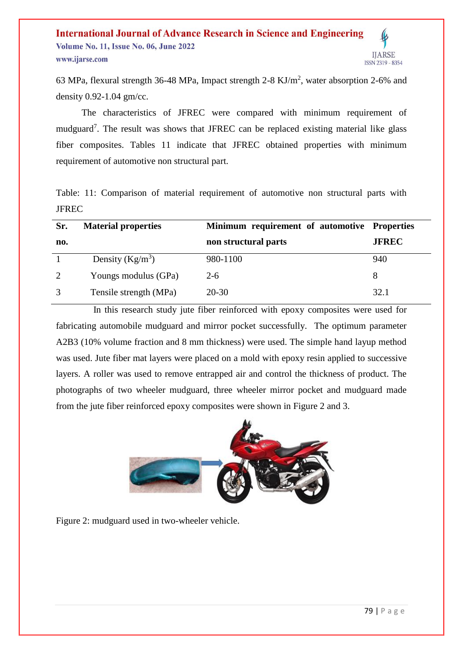#### **International Journal of Advance Research in Science and Engineering Volume No. 11, Issue No. 06, June 2022 IIARSE** www.ijarse.com **ISSN 2319 - 8354**

63 MPa, flexural strength 36-48 MPa, Impact strength 2-8 KJ/m<sup>2</sup>, water absorption 2-6% and density 0.92-1.04 gm/cc.

 The characteristics of JFREC were compared with minimum requirement of mudguard<sup>7</sup>. The result was shows that JFREC can be replaced existing material like glass fiber composites. Tables 11 indicate that JFREC obtained properties with minimum requirement of automotive non structural part.

Table: 11: Comparison of material requirement of automotive non structural parts with JFREC

| Sr. | <b>Material properties</b> | Minimum requirement of automotive Properties |              |
|-----|----------------------------|----------------------------------------------|--------------|
| no. |                            | non structural parts                         | <b>JFREC</b> |
|     | Density $(Kg/m^3)$         | 980-1100                                     | 940          |
| 2   | Youngs modulus (GPa)       | $2-6$                                        | 8            |
|     | Tensile strength (MPa)     | $20 - 30$                                    | 32.1         |

 In this research study jute fiber reinforced with epoxy composites were used for fabricating automobile mudguard and mirror pocket successfully. The optimum parameter A2B3 (10% volume fraction and 8 mm thickness) were used. The simple hand layup method was used. Jute fiber mat layers were placed on a mold with epoxy resin applied to successive layers. A roller was used to remove entrapped air and control the thickness of product. The photographs of two wheeler mudguard, three wheeler mirror pocket and mudguard made from the jute fiber reinforced epoxy composites were shown in Figure 2 and 3.



Figure 2: mudguard used in two-wheeler vehicle.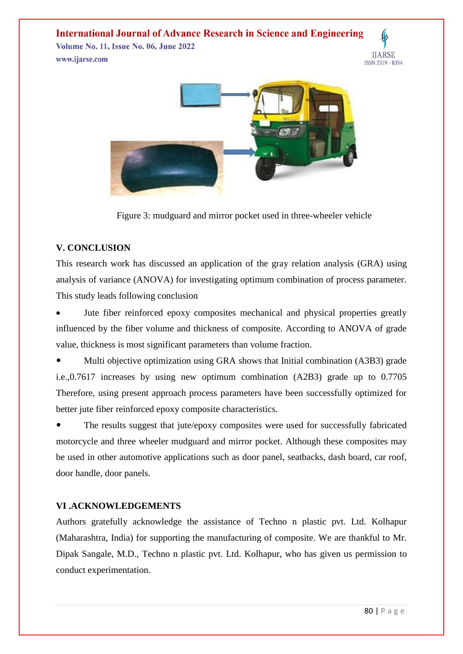**Volume No. 11, Issue No. 06, June 2022** www.ijarse.com





Figure 3: mudguard and mirror pocket used in three-wheeler vehicle

### **V. CONCLUSION**

This research work has discussed an application of the gray relation analysis (GRA) using analysis of variance (ANOVA) for investigating optimum combination of process parameter. This study leads following conclusion

 Jute fiber reinforced epoxy composites mechanical and physical properties greatly influenced by the fiber volume and thickness of composite. According to ANOVA of grade value, thickness is most significant parameters than volume fraction.

 Multi objective optimization using GRA shows that Initial combination (A3B3) grade i.e.,0.7617 increases by using new optimum combination (A2B3) grade up to 0.7705 Therefore, using present approach process parameters have been successfully optimized for better jute fiber reinforced epoxy composite characteristics.

• The results suggest that jute/epoxy composites were used for successfully fabricated motorcycle and three wheeler mudguard and mirror pocket. Although these composites may be used in other automotive applications such as door panel, seatbacks, dash board, car roof, door handle, door panels.

### **VI .ACKNOWLEDGEMENTS**

Authors gratefully acknowledge the assistance of Techno n plastic pvt. Ltd. Kolhapur (Maharashtra, India) for supporting the manufacturing of composite. We are thankful to Mr. Dipak Sangale, M.D., Techno n plastic pvt. Ltd. Kolhapur, who has given us permission to conduct experimentation.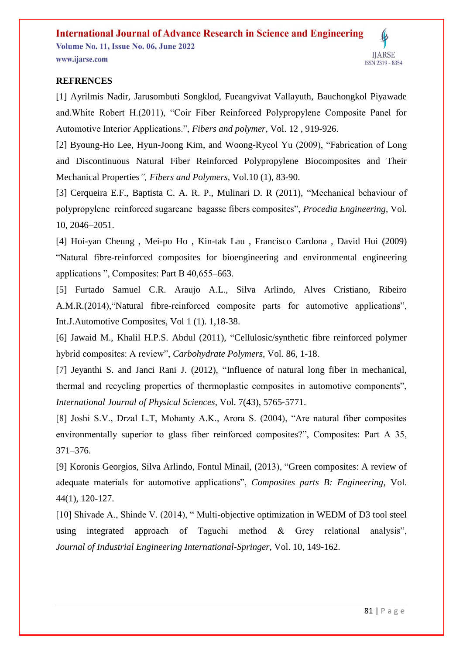#### **International Journal of Advance Research in Science and Engineering Volume No. 11, Issue No. 06, June 2022** www.ijarse.com ISSN 2319 - 8354

### **REFRENCES**

[1] Ayrilmis Nadir, Jarusombuti Songklod, Fueangvivat Vallayuth, Bauchongkol Piyawade and.White Robert H.(2011), "Coir Fiber Reinforced Polypropylene Composite Panel for Automotive Interior Applications.", *Fibers and polymer*, Vol. 12 , 919-926.

[2] Byoung-Ho Lee, Hyun-Joong Kim, and Woong-Ryeol Yu (2009), "Fabrication of Long and Discontinuous Natural Fiber Reinforced Polypropylene Biocomposites and Their Mechanical Properties*", Fibers and Polymers,* Vol.10 (1), 83-90.

[3] Cerqueira E.F., Baptista C. A. R. P., Mulinari D. R (2011), "Mechanical behaviour of polypropylene reinforced sugarcane bagasse fibers composites", *Procedia Engineering*, Vol. 10, 2046–2051.

[4] Hoi-yan Cheung , Mei-po Ho , Kin-tak Lau , Francisco Cardona , David Hui (2009) "Natural fibre-reinforced composites for bioengineering and environmental engineering applications ", Composites: Part B 40,655–663.

[5] Furtado Samuel C.R. Araujo A.L., Silva Arlindo, Alves Cristiano, Ribeiro A.M.R.(2014),"Natural fibre-reinforced composite parts for automotive applications", Int.J.Automotive Composites, Vol 1 (1). 1,18-38.

[6] Jawaid M., Khalil H.P.S. Abdul (2011), "Cellulosic/synthetic fibre reinforced polymer hybrid composites: A review", *Carbohydrate Polymers,* Vol. 86, 1-18.

[7] Jeyanthi S. and Janci Rani J. (2012), "Influence of natural long fiber in mechanical, thermal and recycling properties of thermoplastic composites in automotive components", *International Journal of Physical Sciences*, Vol. 7(43), 5765-5771.

[8] Joshi S.V., Drzal L.T, Mohanty A.K., Arora S. (2004), "Are natural fiber composites environmentally superior to glass fiber reinforced composites?", Composites: Part A 35, 371–376.

[9] Koronis Georgios, Silva Arlindo, Fontul Minail, (2013), "Green composites: A review of adequate materials for automotive applications", *Composites parts B: Engineering*, Vol. 44(1), 120-127.

[10] Shivade A., Shinde V. (2014), " Multi-objective optimization in WEDM of D3 tool steel using integrated approach of Taguchi method & Grey relational analysis", *Journal of Industrial Engineering International-Springer,* Vol. 10, 149-162.

**IIARSE**